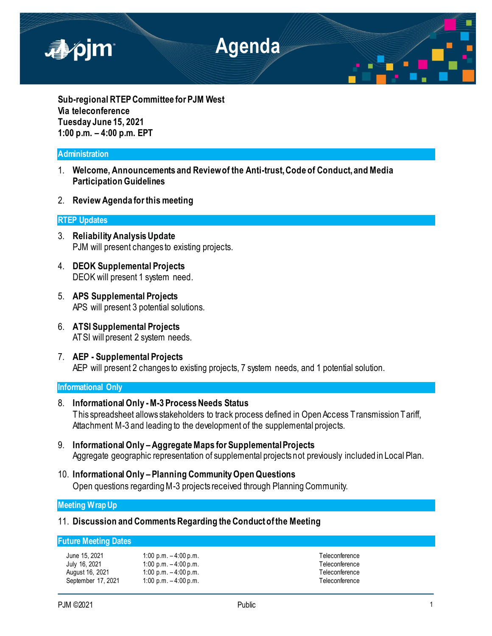

**Sub-regional RTEP Committee for PJM West Via teleconference Tuesday June 15, 2021 1:00 p.m. – 4:00 p.m. EPT**

## **Administration**

- 1. **Welcome, Announcements and Review of the Anti-trust, Code of Conduct, and Media Participation Guidelines**
- 2. **Review Agenda for this meeting**

### **RTEP Updates**

- 3. **Reliability Analysis Update** PJM will present changes to existing projects.
- 4. **DEOK Supplemental Projects** DEOK will present 1 system need.
- 5. **APS Supplemental Projects** APS will present 3 potential solutions.
- 6. **ATSI Supplemental Projects** ATSI will present 2 system needs.
- 7. **AEP - Supplemental Projects** AEP will present 2 changes to existing projects, 7 system needs, and 1 potential solution.

### **Informational Only**

- 8. **Informational Only -M-3 Process Needs Status** This spreadsheet allows stakeholders to track process defined in Open Access Transmission Tariff, Attachment M-3 and leading to the development of the supplemental projects.
- 9. **Informational Only –Aggregate Maps for Supplemental Projects** Aggregate geographic representation of supplemental projects not previously included in Local Plan.
- 10. **Informational Only – Planning Community Open Questions** Open questions regarding M-3 projects received through Planning Community.

**Meeting Wrap Up**

# 11. **Discussion and Comments Regarding the Conduct of the Meeting**

## **Future Meeting Dates**

June 15, 2021 1:00 p.m. – 4:00 p.m. Teleconference July 16, 2021 1:00 p.m. – 4:00 p.m. Teleconference August 16, 2021 1:00 p.m.  $-4:00$  p.m. Teleconference September 17, 2021 1:00 p.m. – 4:00 p.m. Teleconference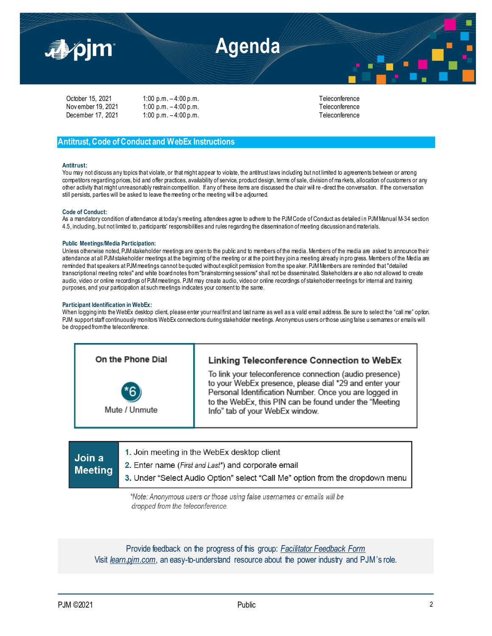

| October 15, 2021   |  |
|--------------------|--|
| Nov ember 19, 2021 |  |
| December 17, 2021  |  |

1:00 p.m. – 4:00 p.m. Teleconference 1:00 p.m.  $-4:00$  p.m. 1:00 p.m. – 4:00 p.m. Teleconference

# **Antitrust, Code of Conduct and WebEx Instructions**

#### **Antitrust:**

You may not discuss any topics that violate, or that might appear to violate, the antitrust laws including but not limited to agreements between or among competitors regarding prices, bid and offer practices, availability of service, product design, terms of sale, division of ma rkets, allocation of customers or any other activity that might unreasonably restrain competition. If any of these items are discussed the chair will re-direct the conversation. If the conversation still persists, parties will be asked to leave the meeting or the meeting will b e adjourned.

### **Code of Conduct:**

As a mandatory condition of attendance at today's meeting, attendees agree to adhere to the PJM Code of Conduct as detailed in PJM Manual M-34 section 4.5, including, but not limited to, participants' responsibilities and rules regarding the dissemination of meeting discussion and materials.

#### **Public Meetings/Media Participation:**

Unless otherwise noted, PJM stakeholder meetings are open to the public and to members of the media. Members of the media are asked to announce their attendance at all PJM stakeholder meetings at the beginning of the meeting or at the point they join a meeting already in pro gress. Members of the Media are reminded that speakers at PJM meetings cannot be quoted without explicit permission from the spe aker. PJM Members are reminded that "detailed transcriptional meeting notes" and white board notes from "brainstorming sessions" shall not be disseminated. Stakeholders are also not allowed to create audio, video or online recordings of PJM meetings. PJM may create audio, video or online recordings of stakeholder meetings for internal and training purposes, and your participation at such meetings indicates your consent to the same.

#### **Participant Identification in WebEx:**

When logging into the WebEx desktop client, please enter your real first and last name as well as a valid email address. Be sure to select the "call me" option. PJM support staff continuously monitors WebEx connections during stakeholder meetings. Anonymous users or those using false u semames or emails will be dropped from the teleconference.



| Join a<br><b>Meeting</b> | 1. Join meeting in the WebEx desktop client                                   |
|--------------------------|-------------------------------------------------------------------------------|
|                          | 2. Enter name ( <i>First and Last</i> *) and corporate email                  |
|                          | 3. Under "Select Audio Option" select "Call Me" option from the dropdown menu |
|                          |                                                                               |

\*Note: Anonymous users or those using false usernames or emails will be dropped from the teleconference.

Provide feedback on the progress of this group: *Facilitator Feedback Form* Visit *[learn.pjm.com](https://learn.pjm.com/)*, an easy-to-understand resource about the power industry and PJM's role.